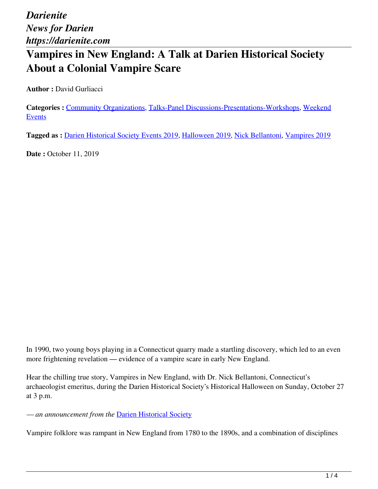## **Vampires in New England: A Talk at Darien Historical Society About a Colonial Vampire Scare**

**Author :** David Gurliacci

**Categories :** [Community Organizations,](https://darienite.com/category/news/community-organizations) Talks-Panel Discussions-Presentations-Workshops, Weekend Events

**Tagged as :** Darien Historical Society Events 2019, Halloween 2019, Nick Bellantoni, Vampires 2019

**Date : October 11, 2019** 

In 1990, two young boys playing in a Connecticut quarry made a startling discovery, which led to an even more frightening revelation — evidence of a vampire scare in early New England.

Hear the chilling true story, Vampires in New England, with Dr. Nick Bellantoni, Connecticut's archaeologist emeritus, during the Darien Historical Society's Historical Halloween on Sunday, October 27 at 3 p.m.

*— an announcement from the* Darien Historical Society

Vampire folklore was rampant in New England from 1780 to the 1890s, and a combination of disciplines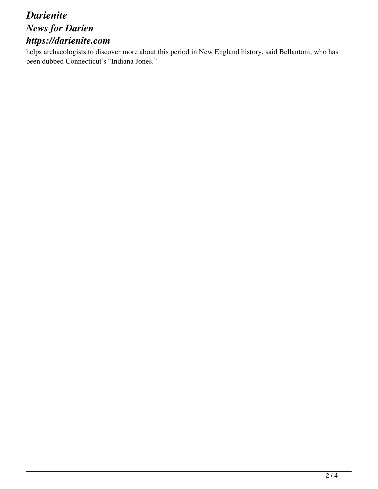### *Darienite News for Darien https://darienite.com*

helps archaeologists to discover more about this period in New England history, said Bellantoni, who has been dubbed Connecticut's "Indiana Jones."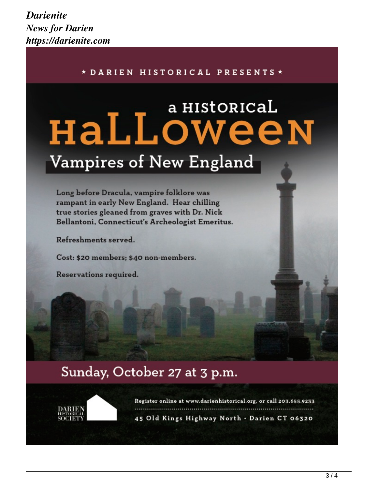#### \* DARIEN HISTORICAL PRESENTS \*

# a HIStORICAL HaLLoween Vampires of New England

Long before Dracula, vampire folklore was rampant in early New England. Hear chilling true stories gleaned from graves with Dr. Nick Bellantoni, Connecticut's Archeologist Emeritus.

Refreshments served.

Cost: \$20 members; \$40 non-members.

Reservations required.

## Sunday, October 27 at 3 p.m.



Register online at www.darienhistorical.org, or call 203.655.9233 45 Old Kings Highway North . Darien CT 06320